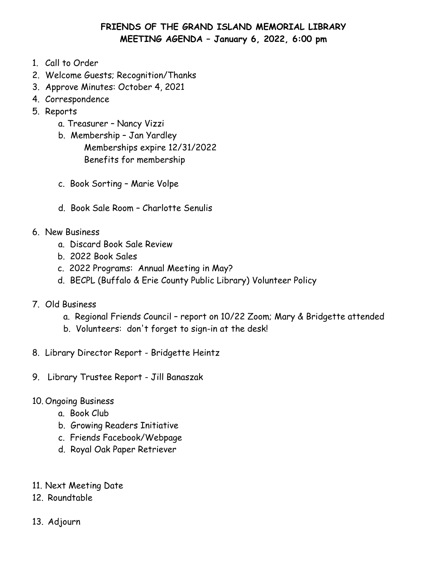# **FRIENDS OF THE GRAND ISLAND MEMORIAL LIBRARY MEETING AGENDA January 6, 2022, 6:00 pm**

- 1. Call to Order
- 2. Welcome Guests; Recognition/Thanks
- 3. Approve Minutes: October 4, 2021
- 4. Correspondence
- 5. Reports
	- a. Treasurer Nancy Vizzi
	- b. Membership Jan Yardley Memberships expire 12/31/2022 Benefits for membership
	- c. Book Sorting Marie Volpe
	- d. Book Sale Room Charlotte Senulis
- 6. New Business
	- a. Discard Book Sale Review
	- b. 2022 Book Sales
	- c. 2022 Programs: Annual Meeting in May?
	- d. BECPL (Buffalo & Erie County Public Library) Volunteer Policy
- 7. Old Business
	- a. Regional Friends Council report on 10/22 Zoom; Mary & Bridgette attended
	- b. Volunteers: don't forget to sign-in at the desk!
- 8. Library Director Report Bridgette Heintz
- 9. Library Trustee Report Jill Banaszak
- 10. Ongoing Business
	- a. Book Club
	- b. Growing Readers Initiative
	- c. Friends Facebook/Webpage
	- d. Royal Oak Paper Retriever
- 11. Next Meeting Date
- 12. Roundtable
- 13. Adjourn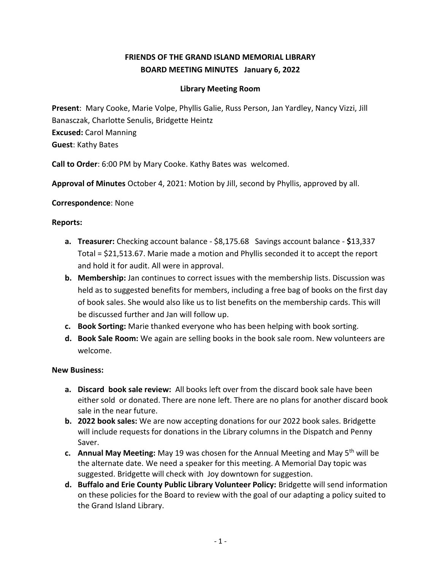# **FRIENDS OF THE GRAND ISLAND MEMORIAL LIBRARY BOARD MEETING MINUTES January 6, 2022**

## **Library Meeting Room**

**Present**: Mary Cooke, Marie Volpe, Phyllis Galie, Russ Person, Jan Yardley, Nancy Vizzi, Jill Banasczak, Charlotte Senulis, Bridgette Heintz **Excused:** Carol Manning **Guest**: Kathy Bates

**Call to Order**: 6:00 PM by Mary Cooke. Kathy Bates was welcomed.

**Approval of Minutes** October 4, 2021: Motion by Jill, second by Phyllis, approved by all.

#### **Correspondence**: None

### **Reports:**

- **a. Treasurer:** Checking account balance \$8,175.68 Savings account balance **\$**13,337 Total = \$21,513.67. Marie made a motion and Phyllis seconded it to accept the report and hold it for audit. All were in approval.
- **b. Membership:** Jan continues to correct issues with the membership lists. Discussion was held as to suggested benefits for members, including a free bag of books on the first day of book sales. She would also like us to list benefits on the membership cards. This will be discussed further and Jan will follow up.
- **c. Book Sorting:** Marie thanked everyone who has been helping with book sorting.
- **d. Book Sale Room:** We again are selling books in the book sale room. New volunteers are welcome.

#### **New Business:**

- **a. Discard book sale review:** All books left over from the discard book sale have been either sold or donated. There are none left. There are no plans for another discard book sale in the near future.
- **b. 2022 book sales:** We are now accepting donations for our 2022 book sales. Bridgette will include requests for donations in the Library columns in the Dispatch and Penny Saver.
- **c. Annual May Meeting:** May 19 was chosen for the Annual Meeting and May 5th will be the alternate date. We need a speaker for this meeting. A Memorial Day topic was suggested. Bridgette will check with Joy downtown for suggestion.
- **d. Buffalo and Erie County Public Library Volunteer Policy:** Bridgette will send information on these policies for the Board to review with the goal of our adapting a policy suited to the Grand Island Library.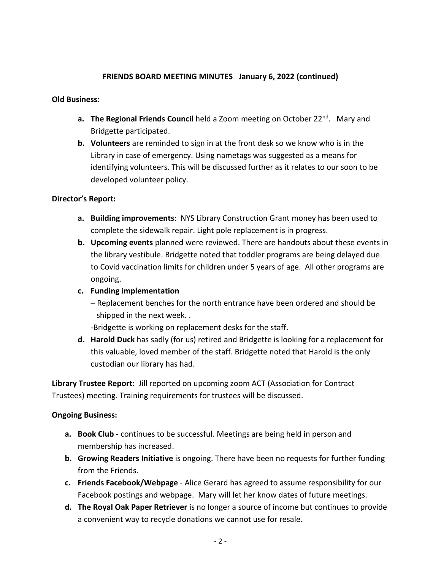### **FRIENDS BOARD MEETING MINUTES January 6, 2022 (continued)**

#### **Old Business:**

- **a. The Regional Friends Council** held a Zoom meeting on October 22nd . Mary and Bridgette participated.
- **b. Volunteers** are reminded to sign in at the front desk so we know who is in the Library in case of emergency. Using nametags was suggested as a means for identifying volunteers. This will be discussed further as it relates to our soon to be developed volunteer policy.

#### **Director's Report:**

- **a. Building improvements**: NYS Library Construction Grant money has been used to complete the sidewalk repair. Light pole replacement is in progress.
- **b. Upcoming events** planned were reviewed. There are handouts about these events in the library vestibule. Bridgette noted that toddler programs are being delayed due to Covid vaccination limits for children under 5 years of age. All other programs are ongoing.
- **c. Funding implementation**
	- Replacement benches for the north entrance have been ordered and should be shipped in the next week. .

-Bridgette is working on replacement desks for the staff.

**d. Harold Duck** has sadly (for us) retired and Bridgette is looking for a replacement for this valuable, loved member of the staff. Bridgette noted that Harold is the only custodian our library has had.

**Library Trustee Report:** Jill reported on upcoming zoom ACT (Association for Contract Trustees) meeting. Training requirements for trustees will be discussed.

#### **Ongoing Business:**

- **a. Book Club** continues to be successful. Meetings are being held in person and membership has increased.
- **b. Growing Readers Initiative** is ongoing. There have been no requests for further funding from the Friends.
- **c. Friends Facebook/Webpage** Alice Gerard has agreed to assume responsibility for our Facebook postings and webpage. Mary will let her know dates of future meetings.
- **d. The Royal Oak Paper Retriever** is no longer a source of income but continues to provide a convenient way to recycle donations we cannot use for resale.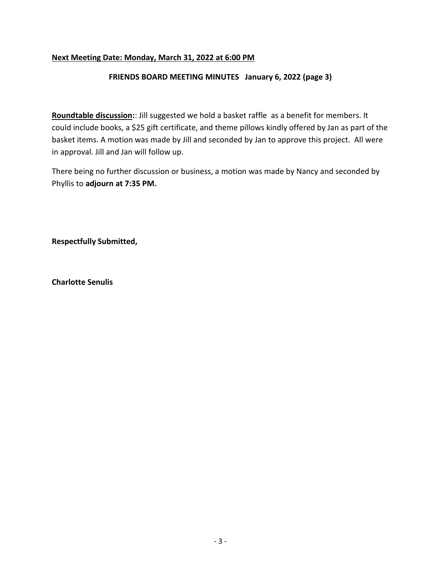## **Next Meeting Date: Monday, March 31, 2022 at 6:00 PM**

#### **FRIENDS BOARD MEETING MINUTES January 6, 2022 (page 3)**

**Roundtable discussion:**: Jill suggested we hold a basket raffle as a benefit for members. It could include books, a \$25 gift certificate, and theme pillows kindly offered by Jan as part of the basket items. A motion was made by Jill and seconded by Jan to approve this project. All were in approval. Jill and Jan will follow up.

There being no further discussion or business, a motion was made by Nancy and seconded by Phyllis to **adjourn at 7:35 PM.**

**Respectfully Submitted,**

**Charlotte Senulis**